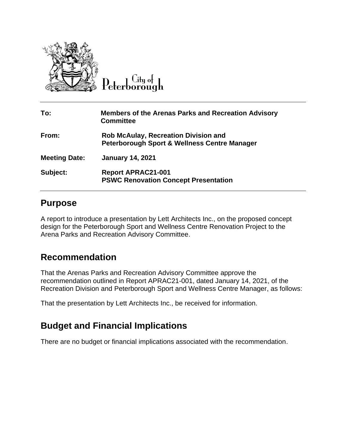

City of

| To:                  | <b>Members of the Arenas Parks and Recreation Advisory</b><br><b>Committee</b>                         |
|----------------------|--------------------------------------------------------------------------------------------------------|
| From:                | <b>Rob McAulay, Recreation Division and</b><br><b>Peterborough Sport &amp; Wellness Centre Manager</b> |
| <b>Meeting Date:</b> | <b>January 14, 2021</b>                                                                                |
| Subject:             | <b>Report APRAC21-001</b><br><b>PSWC Renovation Concept Presentation</b>                               |

#### **Purpose**

A report to introduce a presentation by Lett Architects Inc., on the proposed concept design for the Peterborough Sport and Wellness Centre Renovation Project to the Arena Parks and Recreation Advisory Committee.

## **Recommendation**

That the Arenas Parks and Recreation Advisory Committee approve the recommendation outlined in Report APRAC21-001, dated January 14, 2021, of the Recreation Division and Peterborough Sport and Wellness Centre Manager, as follows:

That the presentation by Lett Architects Inc., be received for information.

## **Budget and Financial Implications**

There are no budget or financial implications associated with the recommendation.